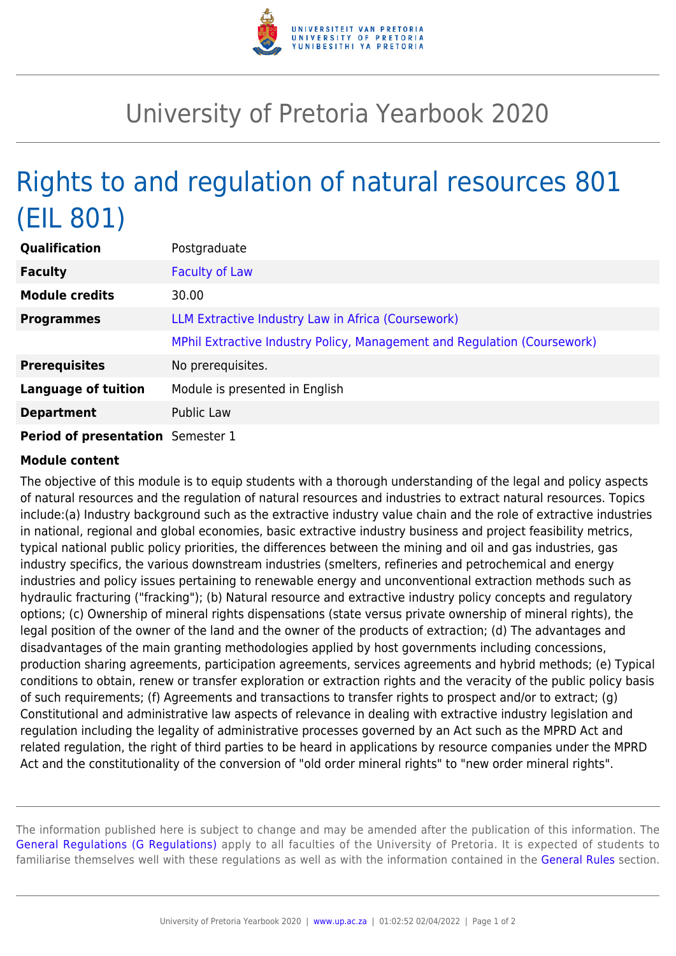

## University of Pretoria Yearbook 2020

## Rights to and regulation of natural resources 801 (EIL 801)

| <b>Qualification</b>              | Postgraduate                                                             |
|-----------------------------------|--------------------------------------------------------------------------|
| <b>Faculty</b>                    | <b>Faculty of Law</b>                                                    |
| <b>Module credits</b>             | 30.00                                                                    |
| <b>Programmes</b>                 | LLM Extractive Industry Law in Africa (Coursework)                       |
|                                   | MPhil Extractive Industry Policy, Management and Regulation (Coursework) |
| <b>Prerequisites</b>              | No prerequisites.                                                        |
| <b>Language of tuition</b>        | Module is presented in English                                           |
| <b>Department</b>                 | <b>Public Law</b>                                                        |
| Period of presentation Semester 1 |                                                                          |

## **Module content**

The objective of this module is to equip students with a thorough understanding of the legal and policy aspects of natural resources and the regulation of natural resources and industries to extract natural resources. Topics include:(a) Industry background such as the extractive industry value chain and the role of extractive industries in national, regional and global economies, basic extractive industry business and project feasibility metrics, typical national public policy priorities, the differences between the mining and oil and gas industries, gas industry specifics, the various downstream industries (smelters, refineries and petrochemical and energy industries and policy issues pertaining to renewable energy and unconventional extraction methods such as hydraulic fracturing ("fracking"); (b) Natural resource and extractive industry policy concepts and regulatory options; (c) Ownership of mineral rights dispensations (state versus private ownership of mineral rights), the legal position of the owner of the land and the owner of the products of extraction; (d) The advantages and disadvantages of the main granting methodologies applied by host governments including concessions, production sharing agreements, participation agreements, services agreements and hybrid methods; (e) Typical conditions to obtain, renew or transfer exploration or extraction rights and the veracity of the public policy basis of such requirements; (f) Agreements and transactions to transfer rights to prospect and/or to extract; (g) Constitutional and administrative law aspects of relevance in dealing with extractive industry legislation and regulation including the legality of administrative processes governed by an Act such as the MPRD Act and related regulation, the right of third parties to be heard in applications by resource companies under the MPRD Act and the constitutionality of the conversion of "old order mineral rights" to "new order mineral rights".

The information published here is subject to change and may be amended after the publication of this information. The [General Regulations \(G Regulations\)](https://www.up.ac.za/yearbooks/2020/rules/view/REG) apply to all faculties of the University of Pretoria. It is expected of students to familiarise themselves well with these regulations as well as with the information contained in the [General Rules](https://www.up.ac.za/yearbooks/2020/rules/view/RUL) section.